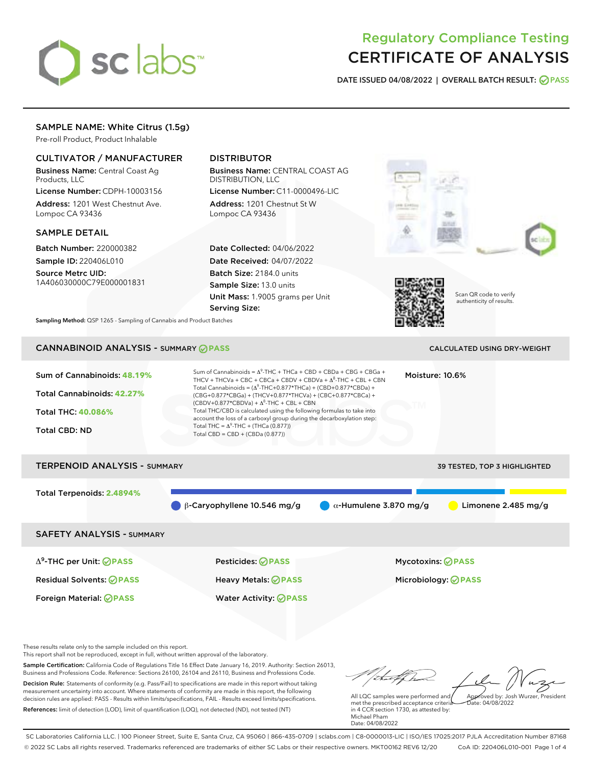# sclabs<sup>\*</sup>

# Regulatory Compliance Testing CERTIFICATE OF ANALYSIS

DATE ISSUED 04/08/2022 | OVERALL BATCH RESULT: @ PASS

## SAMPLE NAME: White Citrus (1.5g)

Pre-roll Product, Product Inhalable

## CULTIVATOR / MANUFACTURER

Business Name: Central Coast Ag Products, LLC

License Number: CDPH-10003156 Address: 1201 West Chestnut Ave. Lompoc CA 93436

#### SAMPLE DETAIL

Batch Number: 220000382 Sample ID: 220406L010

Source Metrc UID: 1A406030000C79E000001831

# DISTRIBUTOR

Business Name: CENTRAL COAST AG DISTRIBUTION, LLC

License Number: C11-0000496-LIC Address: 1201 Chestnut St W Lompoc CA 93436

Date Collected: 04/06/2022 Date Received: 04/07/2022 Batch Size: 2184.0 units Sample Size: 13.0 units Unit Mass: 1.9005 grams per Unit Serving Size:





Scan QR code to verify authenticity of results.

Sampling Method: QSP 1265 - Sampling of Cannabis and Product Batches

# CANNABINOID ANALYSIS - SUMMARY **PASS** CALCULATED USING DRY-WEIGHT

#### Sum of Cannabinoids: **48.19%** Total Cannabinoids: **42.27%** Total THC: **40.086%** Total CBD: ND Sum of Cannabinoids =  $\Delta^9$ -THC + THCa + CBD + CBDa + CBG + CBGa + THCV + THCVa + CBC + CBCa + CBDV + CBDVa +  $\Delta^8$ -THC + CBL + CBN Total Cannabinoids = ( $\Delta^9$ -THC+0.877\*THCa) + (CBD+0.877\*CBDa) + (CBG+0.877\*CBGa) + (THCV+0.877\*THCVa) + (CBC+0.877\*CBCa) +  $(CBDV+0.877*CBDVa) + \Delta^8$ -THC + CBL + CBN Total THC/CBD is calculated using the following formulas to take into account the loss of a carboxyl group during the decarboxylation step: Total THC =  $\Delta^9$ -THC + (THCa (0.877)) Total CBD = CBD + (CBDa (0.877)) Moisture: 10.6% TERPENOID ANALYSIS - SUMMARY 39 TESTED, TOP 3 HIGHLIGHTED Total Terpenoids: **2.4894%**  $\theta$  β-Caryophyllene 10.546 mg/g  $\theta$  α-Humulene 3.870 mg/g  $\theta$  Limonene 2.485 mg/g SAFETY ANALYSIS - SUMMARY

Δ9-THC per Unit: **PASS** Pesticides: **PASS** Mycotoxins: **PASS** Residual Solvents: **PASS** Heavy Metals: **PASS** Microbiology: **PASS** Foreign Material: **PASS** Water Activity: **PASS**

These results relate only to the sample included on this report.

This report shall not be reproduced, except in full, without written approval of the laboratory.

Sample Certification: California Code of Regulations Title 16 Effect Date January 16, 2019. Authority: Section 26013, Business and Professions Code. Reference: Sections 26100, 26104 and 26110, Business and Professions Code. Decision Rule: Statements of conformity (e.g. Pass/Fail) to specifications are made in this report without taking measurement uncertainty into account. Where statements of conformity are made in this report, the following decision rules are applied: PASS - Results within limits/specifications, FAIL - Results exceed limits/specifications.

References: limit of detection (LOD), limit of quantification (LOQ), not detected (ND), not tested (NT)

Approved by: Josh Wurzer, President

 $ate: 04/08/2022$ 

All LQC samples were performed and met the prescribed acceptance criteria in 4 CCR section 1730, as attested by: Michael Pham Date: 04/08/2022

SC Laboratories California LLC. | 100 Pioneer Street, Suite E, Santa Cruz, CA 95060 | 866-435-0709 | sclabs.com | C8-0000013-LIC | ISO/IES 17025:2017 PJLA Accreditation Number 87168 © 2022 SC Labs all rights reserved. Trademarks referenced are trademarks of either SC Labs or their respective owners. MKT00162 REV6 12/20 CoA ID: 220406L010-001 Page 1 of 4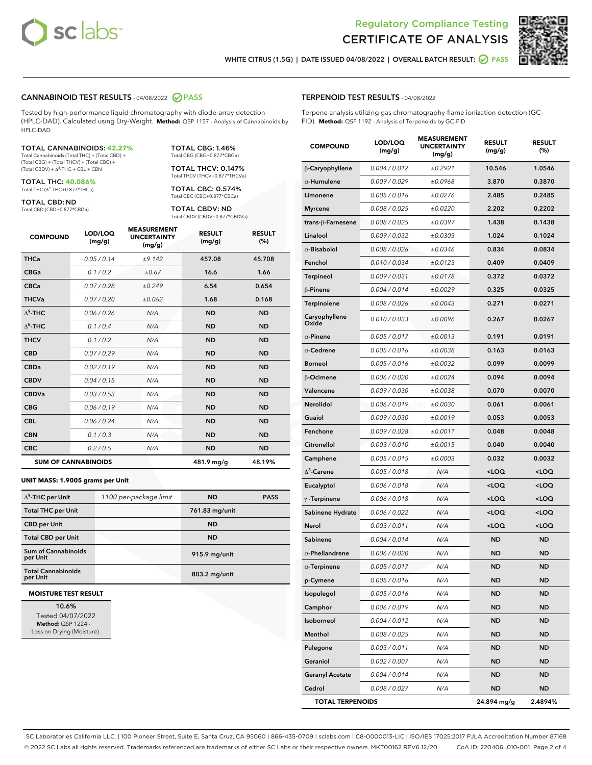



WHITE CITRUS (1.5G) | DATE ISSUED 04/08/2022 | OVERALL BATCH RESULT: **○** PASS

#### CANNABINOID TEST RESULTS - 04/08/2022 2 PASS

Tested by high-performance liquid chromatography with diode-array detection (HPLC-DAD). Calculated using Dry-Weight. **Method:** QSP 1157 - Analysis of Cannabinoids by HPLC-DAD

#### TOTAL CANNABINOIDS: **42.27%**

Total Cannabinoids (Total THC) + (Total CBD) + (Total CBG) + (Total THCV) + (Total CBC) +  $(Total CBDV) +  $\Delta^8$ -THC + CBL + CBN$ 

TOTAL THC: **40.086%** Total THC (Δ<sup>9</sup> -THC+0.877\*THCa)

TOTAL CBD: ND

Total CBD (CBD+0.877\*CBDa)

TOTAL CBG: 1.46% Total CBG (CBG+0.877\*CBGa)

TOTAL THCV: 0.147% Total THCV (THCV+0.877\*THCVa)

TOTAL CBC: 0.574% Total CBC (CBC+0.877\*CBCa)

TOTAL CBDV: ND Total CBDV (CBDV+0.877\*CBDVa)

| <b>COMPOUND</b> | LOD/LOQ<br>(mg/g)          | <b>MEASUREMENT</b><br><b>UNCERTAINTY</b><br>(mg/g) | <b>RESULT</b><br>(mg/g) | <b>RESULT</b><br>(%) |
|-----------------|----------------------------|----------------------------------------------------|-------------------------|----------------------|
| <b>THCa</b>     | 0.05/0.14                  | ±9.142                                             | 457.08                  | 45.708               |
| <b>CBGa</b>     | 0.1 / 0.2                  | ±0.67                                              | 16.6                    | 1.66                 |
| <b>CBCa</b>     | 0.07/0.28                  | ±0.249                                             | 6.54                    | 0.654                |
| <b>THCVa</b>    | 0.07/0.20                  | ±0.062                                             | 1.68                    | 0.168                |
| $\Delta^9$ -THC | 0.06 / 0.26                | N/A                                                | <b>ND</b>               | <b>ND</b>            |
| $\Delta^8$ -THC | 0.1 / 0.4                  | N/A                                                | <b>ND</b>               | <b>ND</b>            |
| <b>THCV</b>     | 0.1/0.2                    | N/A                                                | <b>ND</b>               | <b>ND</b>            |
| <b>CBD</b>      | 0.07/0.29                  | N/A                                                | <b>ND</b>               | <b>ND</b>            |
| <b>CBDa</b>     | 0.02/0.19                  | N/A                                                | <b>ND</b>               | <b>ND</b>            |
| <b>CBDV</b>     | 0.04 / 0.15                | N/A                                                | <b>ND</b>               | <b>ND</b>            |
| <b>CBDVa</b>    | 0.03/0.53                  | N/A                                                | <b>ND</b>               | <b>ND</b>            |
| <b>CBG</b>      | 0.06/0.19                  | N/A                                                | <b>ND</b>               | <b>ND</b>            |
| <b>CBL</b>      | 0.06 / 0.24                | N/A                                                | <b>ND</b>               | <b>ND</b>            |
| <b>CBN</b>      | 0.1/0.3                    | N/A                                                | <b>ND</b>               | <b>ND</b>            |
| <b>CBC</b>      | 0.2 / 0.5                  | N/A                                                | <b>ND</b>               | <b>ND</b>            |
|                 | <b>SUM OF CANNABINOIDS</b> |                                                    | 481.9 mg/g              | 48.19%               |

#### **UNIT MASS: 1.9005 grams per Unit**

| $\Delta^9$ -THC per Unit              | 1100 per-package limit | <b>ND</b>      | <b>PASS</b> |
|---------------------------------------|------------------------|----------------|-------------|
| <b>Total THC per Unit</b>             |                        | 761.83 mg/unit |             |
| <b>CBD</b> per Unit                   |                        | <b>ND</b>      |             |
| <b>Total CBD per Unit</b>             |                        | <b>ND</b>      |             |
| Sum of Cannabinoids<br>per Unit       |                        | 915.9 mg/unit  |             |
| <b>Total Cannabinoids</b><br>per Unit |                        | 803.2 mg/unit  |             |

#### **MOISTURE TEST RESULT**

10.6% Tested 04/07/2022 Method: QSP 1224 - Loss on Drying (Moisture)

#### TERPENOID TEST RESULTS - 04/08/2022

Terpene analysis utilizing gas chromatography-flame ionization detection (GC-FID). **Method:** QSP 1192 - Analysis of Terpenoids by GC-FID

| <b>COMPOUND</b>         | LOD/LOQ<br>(mg/g) | <b>MEASUREMENT</b><br><b>UNCERTAINTY</b><br>(mg/g) | <b>RESULT</b><br>(mg/g)                         | <b>RESULT</b><br>$(\%)$ |
|-------------------------|-------------------|----------------------------------------------------|-------------------------------------------------|-------------------------|
| β-Caryophyllene         | 0.004 / 0.012     | ±0.2921                                            | 10.546                                          | 1.0546                  |
| $\alpha$ -Humulene      | 0.009/0.029       | ±0.0968                                            | 3.870                                           | 0.3870                  |
| Limonene                | 0.005 / 0.016     | ±0.0276                                            | 2.485                                           | 0.2485                  |
| <b>Myrcene</b>          | 0.008 / 0.025     | ±0.0220                                            | 2.202                                           | 0.2202                  |
| trans-β-Farnesene       | 0.008 / 0.025     | ±0.0397                                            | 1.438                                           | 0.1438                  |
| Linalool                | 0.009 / 0.032     | ±0.0303                                            | 1.024                                           | 0.1024                  |
| $\alpha$ -Bisabolol     | 0.008 / 0.026     | ±0.0346                                            | 0.834                                           | 0.0834                  |
| Fenchol                 | 0.010 / 0.034     | ±0.0123                                            | 0.409                                           | 0.0409                  |
| <b>Terpineol</b>        | 0.009 / 0.031     | ±0.0178                                            | 0.372                                           | 0.0372                  |
| β-Pinene                | 0.004 / 0.014     | ±0.0029                                            | 0.325                                           | 0.0325                  |
| Terpinolene             | 0.008 / 0.026     | ±0.0043                                            | 0.271                                           | 0.0271                  |
| Caryophyllene<br>Oxide  | 0.010 / 0.033     | ±0.0096                                            | 0.267                                           | 0.0267                  |
| $\alpha$ -Pinene        | 0.005 / 0.017     | ±0.0013                                            | 0.191                                           | 0.0191                  |
| $\alpha$ -Cedrene       | 0.005 / 0.016     | ±0.0038                                            | 0.163                                           | 0.0163                  |
| <b>Borneol</b>          | 0.005 / 0.016     | ±0.0032                                            | 0.099                                           | 0.0099                  |
| <b>B-Ocimene</b>        | 0.006 / 0.020     | ±0.0024                                            | 0.094                                           | 0.0094                  |
| Valencene               | 0.009 / 0.030     | ±0.0038                                            | 0.070                                           | 0.0070                  |
| Nerolidol               | 0.006 / 0.019     | ±0.0030                                            | 0.061                                           | 0.0061                  |
| Guaiol                  | 0.009 / 0.030     | ±0.0019                                            | 0.053                                           | 0.0053                  |
| Fenchone                | 0.009 / 0.028     | ±0.0011                                            | 0.048                                           | 0.0048                  |
| Citronellol             | 0.003 / 0.010     | ±0.0015                                            | 0.040                                           | 0.0040                  |
| Camphene                | 0.005 / 0.015     | ±0.0003                                            | 0.032                                           | 0.0032                  |
| $\Delta^3$ -Carene      | 0.005 / 0.018     | N/A                                                | <loq< th=""><th><loq< th=""></loq<></th></loq<> | <loq< th=""></loq<>     |
| Eucalyptol              | 0.006 / 0.018     | N/A                                                | <loq< th=""><th><loq< th=""></loq<></th></loq<> | <loq< th=""></loq<>     |
| $\gamma$ -Terpinene     | 0.006 / 0.018     | N/A                                                | <loq< th=""><th><loq< th=""></loq<></th></loq<> | <loq< th=""></loq<>     |
| Sabinene Hydrate        | 0.006 / 0.022     | N/A                                                | <loq< th=""><th><loq< th=""></loq<></th></loq<> | <loq< th=""></loq<>     |
| Nerol                   | 0.003 / 0.011     | N/A                                                | <loq< th=""><th><loq< th=""></loq<></th></loq<> | <loq< th=""></loq<>     |
| Sabinene                | 0.004 / 0.014     | N/A                                                | <b>ND</b>                                       | <b>ND</b>               |
| $\alpha$ -Phellandrene  | 0.006 / 0.020     | N/A                                                | ND                                              | <b>ND</b>               |
| $\alpha$ -Terpinene     | 0.005 / 0.017     | N/A                                                | <b>ND</b>                                       | <b>ND</b>               |
| p-Cymene                | 0.005 / 0.016     | N/A                                                | ND                                              | <b>ND</b>               |
| Isopulegol              | 0.005 / 0.016     | N/A                                                | ND                                              | ND                      |
| Camphor                 | 0.006 / 0.019     | N/A                                                | ND                                              | <b>ND</b>               |
| Isoborneol              | 0.004 / 0.012     | N/A                                                | ND                                              | <b>ND</b>               |
| Menthol                 | 0.008 / 0.025     | N/A                                                | ND                                              | ND                      |
| Pulegone                | 0.003 / 0.011     | N/A                                                | ND                                              | ND                      |
| Geraniol                | 0.002 / 0.007     | N/A                                                | ND                                              | ND                      |
| <b>Geranyl Acetate</b>  | 0.004 / 0.014     | N/A                                                | ND                                              | ND                      |
| Cedrol                  | 0.008 / 0.027     | N/A                                                | ND                                              | <b>ND</b>               |
| <b>TOTAL TERPENOIDS</b> |                   |                                                    | 24.894 mg/g                                     | 2.4894%                 |

SC Laboratories California LLC. | 100 Pioneer Street, Suite E, Santa Cruz, CA 95060 | 866-435-0709 | sclabs.com | C8-0000013-LIC | ISO/IES 17025:2017 PJLA Accreditation Number 87168 © 2022 SC Labs all rights reserved. Trademarks referenced are trademarks of either SC Labs or their respective owners. MKT00162 REV6 12/20 CoA ID: 220406L010-001 Page 2 of 4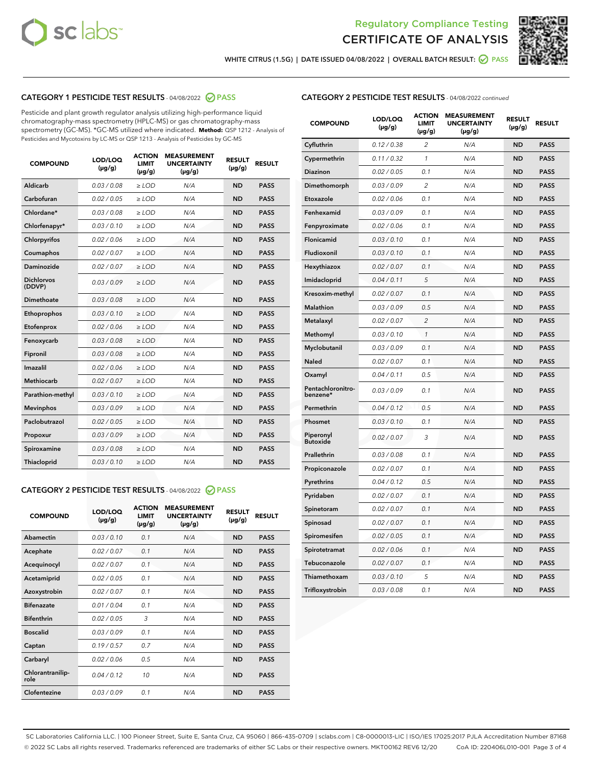



WHITE CITRUS (1.5G) | DATE ISSUED 04/08/2022 | OVERALL BATCH RESULT: ● PASS

# CATEGORY 1 PESTICIDE TEST RESULTS - 04/08/2022 2 PASS

Pesticide and plant growth regulator analysis utilizing high-performance liquid chromatography-mass spectrometry (HPLC-MS) or gas chromatography-mass spectrometry (GC-MS). \*GC-MS utilized where indicated. **Method:** QSP 1212 - Analysis of Pesticides and Mycotoxins by LC-MS or QSP 1213 - Analysis of Pesticides by GC-MS

| Aldicarb<br>0.03 / 0.08<br>$\geq$ LOD<br>N/A<br><b>ND</b><br><b>PASS</b><br>Carbofuran<br>0.02 / 0.05<br>N/A<br><b>ND</b><br><b>PASS</b><br>$>$ LOD<br>Chlordane*<br>0.03/0.08<br>N/A<br><b>ND</b><br><b>PASS</b><br>$\ge$ LOD<br><b>PASS</b><br>Chlorfenapyr*<br>0.03/0.10<br>$\ge$ LOD<br>N/A<br><b>ND</b><br>0.02 / 0.06<br>Chlorpyrifos<br>$>$ LOD<br>N/A<br><b>ND</b><br><b>PASS</b><br>0.02 / 0.07<br>N/A<br>Coumaphos<br>$\ge$ LOD<br><b>ND</b><br><b>PASS</b><br><b>Daminozide</b><br>0.02 / 0.07<br><b>ND</b><br><b>PASS</b><br>$\ge$ LOD<br>N/A<br><b>Dichlorvos</b><br>0.03/0.09<br>N/A<br><b>ND</b><br><b>PASS</b><br>$\ge$ LOD<br>(DDVP)<br><b>Dimethoate</b><br>0.03 / 0.08<br>N/A<br><b>ND</b><br><b>PASS</b><br>$\ge$ LOD<br>0.03/0.10<br><b>ND</b><br><b>PASS</b><br>Ethoprophos<br>$\ge$ LOD<br>N/A<br>0.02 / 0.06<br><b>ND</b><br><b>PASS</b><br>Etofenprox<br>$\ge$ LOD<br>N/A<br>0.03/0.08<br>$>$ LOD<br>N/A<br><b>ND</b><br><b>PASS</b><br>Fenoxycarb<br>0.03 / 0.08<br>$\ge$ LOD<br>N/A<br><b>ND</b><br><b>PASS</b><br>Fipronil<br>Imazalil<br>0.02/0.06<br>$>$ LOD<br>N/A<br><b>ND</b><br><b>PASS</b><br><b>Methiocarb</b><br>0.02 / 0.07<br>$\ge$ LOD<br>N/A<br><b>ND</b><br><b>PASS</b><br>N/A<br>Parathion-methyl<br>0.03/0.10<br>$>$ LOD<br><b>ND</b><br><b>PASS</b><br>0.03/0.09<br>$\ge$ LOD<br>N/A<br><b>ND</b><br><b>PASS</b><br><b>Mevinphos</b><br>Paclobutrazol<br>0.02 / 0.05<br>$>$ LOD<br>N/A<br><b>ND</b><br><b>PASS</b><br>0.03/0.09<br>$\ge$ LOD<br>N/A<br><b>ND</b><br><b>PASS</b><br>Propoxur<br>0.03 / 0.08<br>N/A<br><b>ND</b><br>Spiroxamine<br>$\ge$ LOD<br><b>PASS</b><br>Thiacloprid<br>0.03/0.10<br>N/A<br><b>ND</b><br><b>PASS</b><br>$\ge$ LOD | <b>COMPOUND</b> | <b>LOD/LOQ</b><br>$(\mu g/g)$ | <b>ACTION</b><br>LIMIT<br>$(\mu g/g)$ | <b>MEASUREMENT</b><br><b>UNCERTAINTY</b><br>$(\mu g/g)$ | <b>RESULT</b><br>$(\mu g/g)$ | <b>RESULT</b> |
|----------------------------------------------------------------------------------------------------------------------------------------------------------------------------------------------------------------------------------------------------------------------------------------------------------------------------------------------------------------------------------------------------------------------------------------------------------------------------------------------------------------------------------------------------------------------------------------------------------------------------------------------------------------------------------------------------------------------------------------------------------------------------------------------------------------------------------------------------------------------------------------------------------------------------------------------------------------------------------------------------------------------------------------------------------------------------------------------------------------------------------------------------------------------------------------------------------------------------------------------------------------------------------------------------------------------------------------------------------------------------------------------------------------------------------------------------------------------------------------------------------------------------------------------------------------------------------------------------------------------------------------------------------------------------------------------------|-----------------|-------------------------------|---------------------------------------|---------------------------------------------------------|------------------------------|---------------|
|                                                                                                                                                                                                                                                                                                                                                                                                                                                                                                                                                                                                                                                                                                                                                                                                                                                                                                                                                                                                                                                                                                                                                                                                                                                                                                                                                                                                                                                                                                                                                                                                                                                                                                    |                 |                               |                                       |                                                         |                              |               |
|                                                                                                                                                                                                                                                                                                                                                                                                                                                                                                                                                                                                                                                                                                                                                                                                                                                                                                                                                                                                                                                                                                                                                                                                                                                                                                                                                                                                                                                                                                                                                                                                                                                                                                    |                 |                               |                                       |                                                         |                              |               |
|                                                                                                                                                                                                                                                                                                                                                                                                                                                                                                                                                                                                                                                                                                                                                                                                                                                                                                                                                                                                                                                                                                                                                                                                                                                                                                                                                                                                                                                                                                                                                                                                                                                                                                    |                 |                               |                                       |                                                         |                              |               |
|                                                                                                                                                                                                                                                                                                                                                                                                                                                                                                                                                                                                                                                                                                                                                                                                                                                                                                                                                                                                                                                                                                                                                                                                                                                                                                                                                                                                                                                                                                                                                                                                                                                                                                    |                 |                               |                                       |                                                         |                              |               |
|                                                                                                                                                                                                                                                                                                                                                                                                                                                                                                                                                                                                                                                                                                                                                                                                                                                                                                                                                                                                                                                                                                                                                                                                                                                                                                                                                                                                                                                                                                                                                                                                                                                                                                    |                 |                               |                                       |                                                         |                              |               |
|                                                                                                                                                                                                                                                                                                                                                                                                                                                                                                                                                                                                                                                                                                                                                                                                                                                                                                                                                                                                                                                                                                                                                                                                                                                                                                                                                                                                                                                                                                                                                                                                                                                                                                    |                 |                               |                                       |                                                         |                              |               |
|                                                                                                                                                                                                                                                                                                                                                                                                                                                                                                                                                                                                                                                                                                                                                                                                                                                                                                                                                                                                                                                                                                                                                                                                                                                                                                                                                                                                                                                                                                                                                                                                                                                                                                    |                 |                               |                                       |                                                         |                              |               |
|                                                                                                                                                                                                                                                                                                                                                                                                                                                                                                                                                                                                                                                                                                                                                                                                                                                                                                                                                                                                                                                                                                                                                                                                                                                                                                                                                                                                                                                                                                                                                                                                                                                                                                    |                 |                               |                                       |                                                         |                              |               |
|                                                                                                                                                                                                                                                                                                                                                                                                                                                                                                                                                                                                                                                                                                                                                                                                                                                                                                                                                                                                                                                                                                                                                                                                                                                                                                                                                                                                                                                                                                                                                                                                                                                                                                    |                 |                               |                                       |                                                         |                              |               |
|                                                                                                                                                                                                                                                                                                                                                                                                                                                                                                                                                                                                                                                                                                                                                                                                                                                                                                                                                                                                                                                                                                                                                                                                                                                                                                                                                                                                                                                                                                                                                                                                                                                                                                    |                 |                               |                                       |                                                         |                              |               |
|                                                                                                                                                                                                                                                                                                                                                                                                                                                                                                                                                                                                                                                                                                                                                                                                                                                                                                                                                                                                                                                                                                                                                                                                                                                                                                                                                                                                                                                                                                                                                                                                                                                                                                    |                 |                               |                                       |                                                         |                              |               |
|                                                                                                                                                                                                                                                                                                                                                                                                                                                                                                                                                                                                                                                                                                                                                                                                                                                                                                                                                                                                                                                                                                                                                                                                                                                                                                                                                                                                                                                                                                                                                                                                                                                                                                    |                 |                               |                                       |                                                         |                              |               |
|                                                                                                                                                                                                                                                                                                                                                                                                                                                                                                                                                                                                                                                                                                                                                                                                                                                                                                                                                                                                                                                                                                                                                                                                                                                                                                                                                                                                                                                                                                                                                                                                                                                                                                    |                 |                               |                                       |                                                         |                              |               |
|                                                                                                                                                                                                                                                                                                                                                                                                                                                                                                                                                                                                                                                                                                                                                                                                                                                                                                                                                                                                                                                                                                                                                                                                                                                                                                                                                                                                                                                                                                                                                                                                                                                                                                    |                 |                               |                                       |                                                         |                              |               |
|                                                                                                                                                                                                                                                                                                                                                                                                                                                                                                                                                                                                                                                                                                                                                                                                                                                                                                                                                                                                                                                                                                                                                                                                                                                                                                                                                                                                                                                                                                                                                                                                                                                                                                    |                 |                               |                                       |                                                         |                              |               |
|                                                                                                                                                                                                                                                                                                                                                                                                                                                                                                                                                                                                                                                                                                                                                                                                                                                                                                                                                                                                                                                                                                                                                                                                                                                                                                                                                                                                                                                                                                                                                                                                                                                                                                    |                 |                               |                                       |                                                         |                              |               |
|                                                                                                                                                                                                                                                                                                                                                                                                                                                                                                                                                                                                                                                                                                                                                                                                                                                                                                                                                                                                                                                                                                                                                                                                                                                                                                                                                                                                                                                                                                                                                                                                                                                                                                    |                 |                               |                                       |                                                         |                              |               |
|                                                                                                                                                                                                                                                                                                                                                                                                                                                                                                                                                                                                                                                                                                                                                                                                                                                                                                                                                                                                                                                                                                                                                                                                                                                                                                                                                                                                                                                                                                                                                                                                                                                                                                    |                 |                               |                                       |                                                         |                              |               |
|                                                                                                                                                                                                                                                                                                                                                                                                                                                                                                                                                                                                                                                                                                                                                                                                                                                                                                                                                                                                                                                                                                                                                                                                                                                                                                                                                                                                                                                                                                                                                                                                                                                                                                    |                 |                               |                                       |                                                         |                              |               |
|                                                                                                                                                                                                                                                                                                                                                                                                                                                                                                                                                                                                                                                                                                                                                                                                                                                                                                                                                                                                                                                                                                                                                                                                                                                                                                                                                                                                                                                                                                                                                                                                                                                                                                    |                 |                               |                                       |                                                         |                              |               |
|                                                                                                                                                                                                                                                                                                                                                                                                                                                                                                                                                                                                                                                                                                                                                                                                                                                                                                                                                                                                                                                                                                                                                                                                                                                                                                                                                                                                                                                                                                                                                                                                                                                                                                    |                 |                               |                                       |                                                         |                              |               |

# CATEGORY 2 PESTICIDE TEST RESULTS - 04/08/2022 @ PASS

| <b>COMPOUND</b>          | LOD/LOO<br>$(\mu g/g)$ | <b>ACTION</b><br>LIMIT<br>$(\mu g/g)$ | <b>MEASUREMENT</b><br><b>UNCERTAINTY</b><br>$(\mu g/g)$ | <b>RESULT</b><br>$(\mu g/g)$ | <b>RESULT</b> |
|--------------------------|------------------------|---------------------------------------|---------------------------------------------------------|------------------------------|---------------|
| Abamectin                | 0.03/0.10              | 0.1                                   | N/A                                                     | <b>ND</b>                    | <b>PASS</b>   |
| Acephate                 | 0.02/0.07              | 0.1                                   | N/A                                                     | <b>ND</b>                    | <b>PASS</b>   |
| Acequinocyl              | 0.02/0.07              | 0.1                                   | N/A                                                     | <b>ND</b>                    | <b>PASS</b>   |
| Acetamiprid              | 0.02/0.05              | 0.1                                   | N/A                                                     | <b>ND</b>                    | <b>PASS</b>   |
| Azoxystrobin             | 0.02/0.07              | 0.1                                   | N/A                                                     | <b>ND</b>                    | <b>PASS</b>   |
| <b>Bifenazate</b>        | 0.01/0.04              | 0.1                                   | N/A                                                     | <b>ND</b>                    | <b>PASS</b>   |
| <b>Bifenthrin</b>        | 0.02/0.05              | 3                                     | N/A                                                     | <b>ND</b>                    | <b>PASS</b>   |
| <b>Boscalid</b>          | 0.03/0.09              | 0.1                                   | N/A                                                     | <b>ND</b>                    | <b>PASS</b>   |
| Captan                   | 0.19/0.57              | 0.7                                   | N/A                                                     | <b>ND</b>                    | <b>PASS</b>   |
| Carbaryl                 | 0.02/0.06              | 0.5                                   | N/A                                                     | <b>ND</b>                    | <b>PASS</b>   |
| Chlorantranilip-<br>role | 0.04/0.12              | 10                                    | N/A                                                     | <b>ND</b>                    | <b>PASS</b>   |
| Clofentezine             | 0.03/0.09              | 0.1                                   | N/A                                                     | <b>ND</b>                    | <b>PASS</b>   |

# CATEGORY 2 PESTICIDE TEST RESULTS - 04/08/2022 continued

| <b>COMPOUND</b>               | LOD/LOQ<br>(µg/g) | <b>ACTION</b><br>LIMIT<br>(µg/g) | <b>MEASUREMENT</b><br><b>UNCERTAINTY</b><br>(µg/g) | <b>RESULT</b><br>$(\mu g/g)$ | <b>RESULT</b> |
|-------------------------------|-------------------|----------------------------------|----------------------------------------------------|------------------------------|---------------|
| Cyfluthrin                    | 0.12 / 0.38       | $\overline{c}$                   | N/A                                                | ND                           | <b>PASS</b>   |
| Cypermethrin                  | 0.11 / 0.32       | 1                                | N/A                                                | <b>ND</b>                    | <b>PASS</b>   |
| <b>Diazinon</b>               | 0.02 / 0.05       | 0.1                              | N/A                                                | <b>ND</b>                    | <b>PASS</b>   |
| Dimethomorph                  | 0.03 / 0.09       | 2                                | N/A                                                | <b>ND</b>                    | <b>PASS</b>   |
| Etoxazole                     | 0.02 / 0.06       | 0.1                              | N/A                                                | <b>ND</b>                    | <b>PASS</b>   |
| Fenhexamid                    | 0.03 / 0.09       | 0.1                              | N/A                                                | <b>ND</b>                    | <b>PASS</b>   |
| Fenpyroximate                 | 0.02 / 0.06       | 0.1                              | N/A                                                | <b>ND</b>                    | <b>PASS</b>   |
| Flonicamid                    | 0.03 / 0.10       | 0.1                              | N/A                                                | <b>ND</b>                    | <b>PASS</b>   |
| Fludioxonil                   | 0.03/0.10         | 0.1                              | N/A                                                | <b>ND</b>                    | <b>PASS</b>   |
| Hexythiazox                   | 0.02 / 0.07       | 0.1                              | N/A                                                | <b>ND</b>                    | <b>PASS</b>   |
| Imidacloprid                  | 0.04 / 0.11       | 5                                | N/A                                                | <b>ND</b>                    | <b>PASS</b>   |
| Kresoxim-methyl               | 0.02 / 0.07       | 0.1                              | N/A                                                | ND                           | <b>PASS</b>   |
| <b>Malathion</b>              | 0.03 / 0.09       | 0.5                              | N/A                                                | <b>ND</b>                    | <b>PASS</b>   |
| Metalaxyl                     | 0.02 / 0.07       | $\overline{c}$                   | N/A                                                | <b>ND</b>                    | <b>PASS</b>   |
| Methomyl                      | 0.03 / 0.10       | 1                                | N/A                                                | ND                           | <b>PASS</b>   |
| Myclobutanil                  | 0.03 / 0.09       | 0.1                              | N/A                                                | <b>ND</b>                    | <b>PASS</b>   |
| Naled                         | 0.02 / 0.07       | 0.1                              | N/A                                                | <b>ND</b>                    | <b>PASS</b>   |
| Oxamyl                        | 0.04 / 0.11       | 0.5                              | N/A                                                | <b>ND</b>                    | <b>PASS</b>   |
| Pentachloronitro-<br>benzene* | 0.03/0.09         | 0.1                              | N/A                                                | <b>ND</b>                    | <b>PASS</b>   |
| Permethrin                    | 0.04 / 0.12       | 0.5                              | N/A                                                | ND                           | <b>PASS</b>   |
| Phosmet                       | 0.03 / 0.10       | 0.1                              | N/A                                                | <b>ND</b>                    | <b>PASS</b>   |
| Piperonyl<br><b>Butoxide</b>  | 0.02 / 0.07       | 3                                | N/A                                                | <b>ND</b>                    | <b>PASS</b>   |
| Prallethrin                   | 0.03 / 0.08       | 0.1                              | N/A                                                | <b>ND</b>                    | <b>PASS</b>   |
| Propiconazole                 | 0.02 / 0.07       | 0.1                              | N/A                                                | <b>ND</b>                    | <b>PASS</b>   |
| Pyrethrins                    | 0.04 / 0.12       | 0.5                              | N/A                                                | <b>ND</b>                    | <b>PASS</b>   |
| Pyridaben                     | 0.02 / 0.07       | 0.1                              | N/A                                                | <b>ND</b>                    | <b>PASS</b>   |
| Spinetoram                    | 0.02 / 0.07       | 0.1                              | N/A                                                | ND                           | PASS          |
| Spinosad                      | 0.02 / 0.07       | 0.1                              | N/A                                                | <b>ND</b>                    | <b>PASS</b>   |
| Spiromesifen                  | 0.02 / 0.05       | 0.1                              | N/A                                                | <b>ND</b>                    | <b>PASS</b>   |
| Spirotetramat                 | 0.02 / 0.06       | 0.1                              | N/A                                                | ND                           | <b>PASS</b>   |
| Tebuconazole                  | 0.02 / 0.07       | 0.1                              | N/A                                                | ND                           | PASS          |
| Thiamethoxam                  | 0.03 / 0.10       | 5                                | N/A                                                | <b>ND</b>                    | <b>PASS</b>   |
| Trifloxystrobin               | 0.03 / 0.08       | 0.1                              | N/A                                                | <b>ND</b>                    | <b>PASS</b>   |

SC Laboratories California LLC. | 100 Pioneer Street, Suite E, Santa Cruz, CA 95060 | 866-435-0709 | sclabs.com | C8-0000013-LIC | ISO/IES 17025:2017 PJLA Accreditation Number 87168 © 2022 SC Labs all rights reserved. Trademarks referenced are trademarks of either SC Labs or their respective owners. MKT00162 REV6 12/20 CoA ID: 220406L010-001 Page 3 of 4